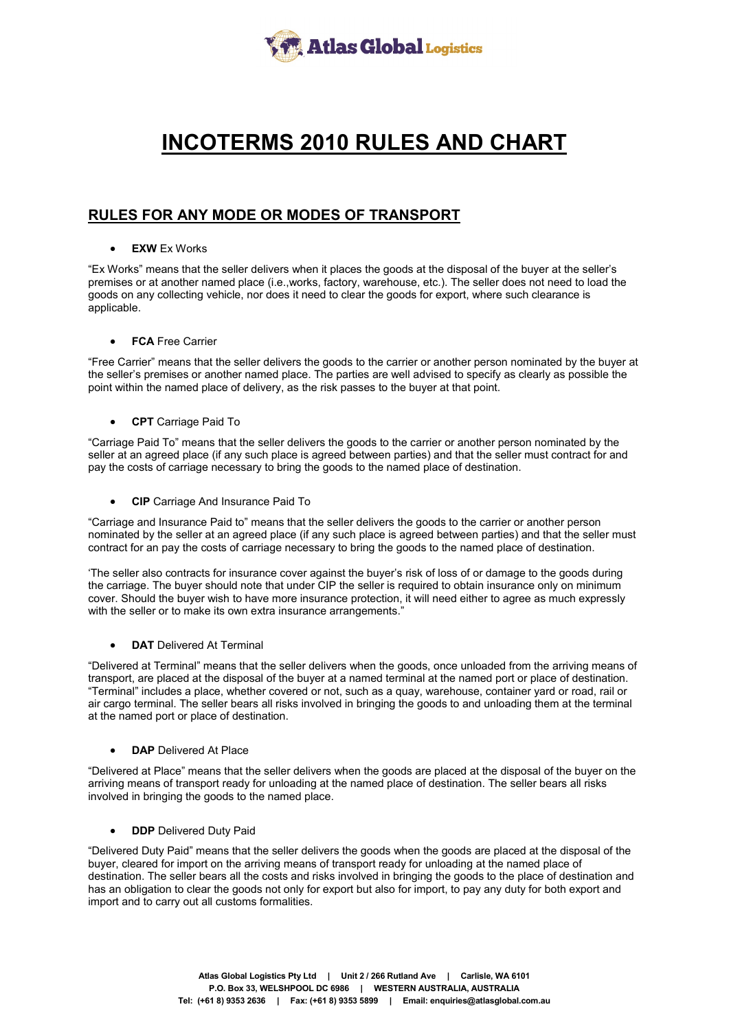

## **INCOTERMS 2010 RULES AND CHART**

### **RULES FOR ANY MODE OR MODES OF TRANSPORT**

**EXW** Ex Works

"Ex Works" means that the seller delivers when it places the goods at the disposal of the buyer at the seller's premises or at another named place (i.e.,works, factory, warehouse, etc.). The seller does not need to load the goods on any collecting vehicle, nor does it need to clear the goods for export, where such clearance is applicable.

#### **FCA** Free Carrier

"Free Carrier" means that the seller delivers the goods to the carrier or another person nominated by the buyer at the seller's premises or another named place. The parties are well advised to specify as clearly as possible the point within the named place of delivery, as the risk passes to the buyer at that point.

#### **CPT** Carriage Paid To

"Carriage Paid To" means that the seller delivers the goods to the carrier or another person nominated by the seller at an agreed place (if any such place is agreed between parties) and that the seller must contract for and pay the costs of carriage necessary to bring the goods to the named place of destination.

**CIP** Carriage And Insurance Paid To

"Carriage and Insurance Paid to" means that the seller delivers the goods to the carrier or another person nominated by the seller at an agreed place (if any such place is agreed between parties) and that the seller must contract for an pay the costs of carriage necessary to bring the goods to the named place of destination.

'The seller also contracts for insurance cover against the buyer's risk of loss of or damage to the goods during the carriage. The buyer should note that under CIP the seller is required to obtain insurance only on minimum cover. Should the buyer wish to have more insurance protection, it will need either to agree as much expressly with the seller or to make its own extra insurance arrangements."

#### **DAT** Delivered At Terminal

"Delivered at Terminal" means that the seller delivers when the goods, once unloaded from the arriving means of transport, are placed at the disposal of the buyer at a named terminal at the named port or place of destination. "Terminal" includes a place, whether covered or not, such as a quay, warehouse, container yard or road, rail or air cargo terminal. The seller bears all risks involved in bringing the goods to and unloading them at the terminal at the named port or place of destination.

#### **DAP** Delivered At Place

"Delivered at Place" means that the seller delivers when the goods are placed at the disposal of the buyer on the arriving means of transport ready for unloading at the named place of destination. The seller bears all risks involved in bringing the goods to the named place.

#### **• DDP** Delivered Duty Paid

"Delivered Duty Paid" means that the seller delivers the goods when the goods are placed at the disposal of the buyer, cleared for import on the arriving means of transport ready for unloading at the named place of destination. The seller bears all the costs and risks involved in bringing the goods to the place of destination and has an obligation to clear the goods not only for export but also for import, to pay any duty for both export and import and to carry out all customs formalities.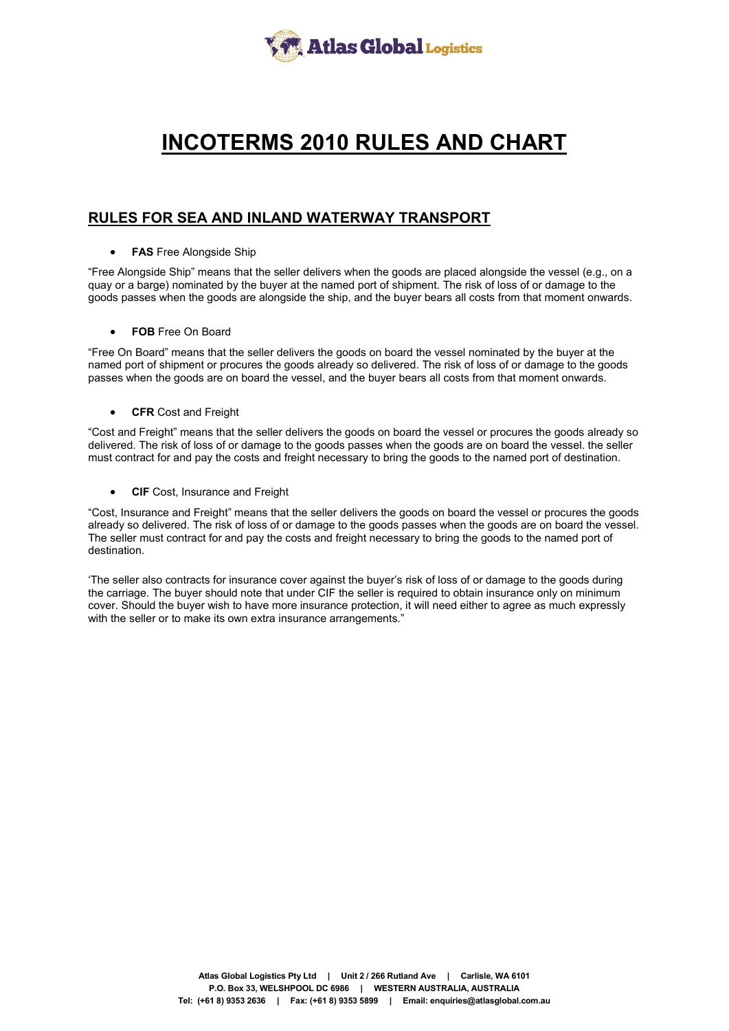

## **INCOTERMS 2010 RULES AND CHART**

### **RULES FOR SEA AND INLAND WATERWAY TRANSPORT**

**FAS** Free Alongside Ship

"Free Alongside Ship" means that the seller delivers when the goods are placed alongside the vessel (e.g., on a quay or a barge) nominated by the buyer at the named port of shipment. The risk of loss of or damage to the goods passes when the goods are alongside the ship, and the buyer bears all costs from that moment onwards.

**FOB** Free On Board

"Free On Board" means that the seller delivers the goods on board the vessel nominated by the buyer at the named port of shipment or procures the goods already so delivered. The risk of loss of or damage to the goods passes when the goods are on board the vessel, and the buyer bears all costs from that moment onwards.

**CFR** Cost and Freight

"Cost and Freight" means that the seller delivers the goods on board the vessel or procures the goods already so delivered. The risk of loss of or damage to the goods passes when the goods are on board the vessel. the seller must contract for and pay the costs and freight necessary to bring the goods to the named port of destination.

**• CIF** Cost, Insurance and Freight

"Cost, Insurance and Freight" means that the seller delivers the goods on board the vessel or procures the goods already so delivered. The risk of loss of or damage to the goods passes when the goods are on board the vessel. The seller must contract for and pay the costs and freight necessary to bring the goods to the named port of destination.

'The seller also contracts for insurance cover against the buyer's risk of loss of or damage to the goods during the carriage. The buyer should note that under CIF the seller is required to obtain insurance only on minimum cover. Should the buyer wish to have more insurance protection, it will need either to agree as much expressly with the seller or to make its own extra insurance arrangements."